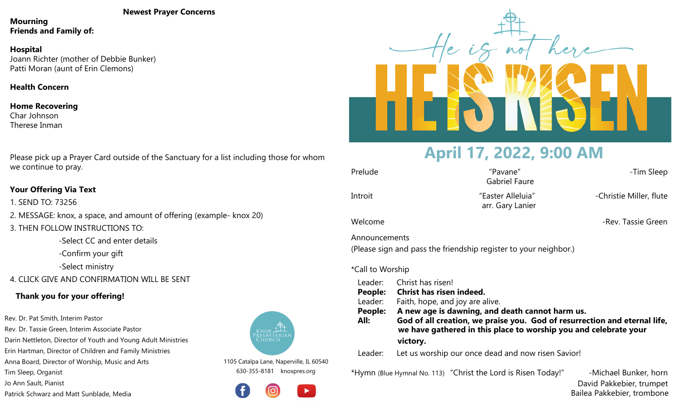#### **Newest Prayer Concerns**

**Mourning Friends and Family of:**

## **Hospital**

Joann Richter (mother of Debbie Bunker) Patti Moran (aunt of Erin Clemons)

**Health Concern**

### **Home Recovering** Char Johnson Therese Inman

Please pick up a Prayer Card outside of the Sanctuary for a list including those for whom we continue to pray.

## **Your Offering Via Text**

1. SEND TO: 73256

- 2. MESSAGE: knox, a space, and amount of offering (example- knox 20)
- 3. THEN FOLLOW INSTRUCTIONS TO:

-Select CC and enter details

-Confirm your gift

-Select ministry

4. CLICK GIVE AND CONFIRMATION WILL BE SENT

## **Thank you for your offering!**

Rev. Dr. Pat Smith, Interim Pastor Rev. Dr. Tassie Green, Interim Associate Pastor Darin Nettleton, Director of Youth and Young Adult Ministries Erin Hartman, Director of Children and Family Ministries Anna Board, Director of Worship, Music and Arts Tim Sleep, Organist Jo Ann Sault, Pianist

Patrick Schwarz and Matt Sunblade, Media



1105 Catalpa Lane, Naperville, IL 60540 630-355-8181 knoxpres.org





# **April 17, 2022, 9:00 AM**

| Prelude       | "Pavane"<br><b>Gabriel Faure</b>                                 | -Tim Sleep              |
|---------------|------------------------------------------------------------------|-------------------------|
| Introit       | "Easter Alleluia"<br>arr. Gary Lanier                            | -Christie Miller, flute |
| Welcome       |                                                                  | -Rev. Tassie Green      |
| Announcements | (Please sign and pass the friendship register to your neighbor.) |                         |

## \*Call to Worship

 Leader: Christ has risen! **People: Christ has risen indeed.** Leader: Faith, hope, and joy are alive. **People: A new age is dawning, and death cannot harm us. All: God of all creation, we praise you. God of resurrection and eternal life, we have gathered in this place to worship you and celebrate your victory.** Leader: Let us worship our once dead and now risen Savior!

\*Hymn (Blue Hymnal No. 113) "Christ the Lord is Risen Today!" -Michael Bunker, horn

 David Pakkebier, trumpet Bailea Pakkebier, trombone